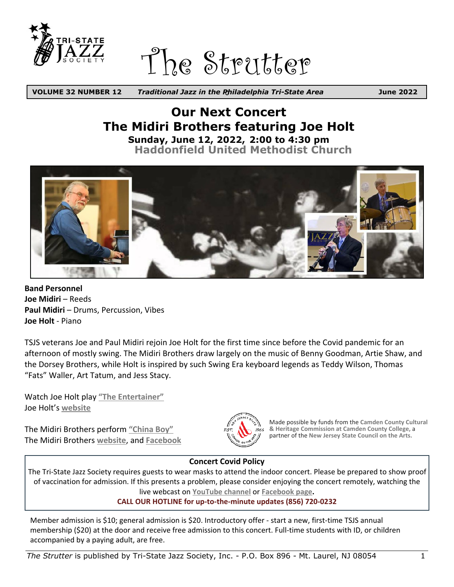

The Strutter

c *Traditional Jazz in the Philadelphia Tri-State Area* **VOLUME 32 NUMBER 12 June 2022**

### **Our Next Concert The Midiri Brothers featuring Joe Holt Sunday, June 12, 2022, 2:00 to 4:30 pm [Haddonfield United Methodist Church](https://www.tristatejazz.org/images/directions-haddonfield.pdf)**



**Band Personnel** Joe Midiri – Reeds **Paul Midiri** – Drums, Percussion, Vibes **Joe Holt** - Piano

TSJS veterans Joe and Paul Midiri rejoin Joe Holt for the first time since before the Covid pandemic for an afternoon of mostly swing. The Midiri Brothers draw largely on the music of Benny Goodman, Artie Shaw, and the Dorsey Brothers, while Holt is inspired by such Swing Era keyboard legends as Teddy Wilson, Thomas "Fats" Waller, Art Tatum, and Jess Stacy.

Watch Joe Holt play **["The Entertainer"](https://www.youtube.com/watch?v=fKcc7izphNc)** Joe Holt's **[website](https://joeholtsnotes.com/)**

The Midiri Brothers perform **["China Boy"](https://www.youtube.com/watch?feature=player_embedded&v=cBUkkAelTHU#t=0s)** The Midiri Brothers **[website](https://www.midiribros.com)**, and **[Facebook](https://www.facebook.com/midiribros)**



Made possible by funds from the **Camden County Cultural & Heritage Commission at Camden County College,** a partner of the **New Jersey State Council on the Arts.**

#### **Concert Covid Policy**

The Tri-State Jazz Society requires guests to wear masks to attend the indoor concert. Please be prepared to show proof of vaccination for admission. If this presents a problem, please consider enjoying the concert remotely, watching the live webcast on **YouTube channel** or **Facebook page.**

**CALL OUR HOTLINE for up-to-the-minute updates (856) 720-0232**

Member admission is \$10; general admission is \$20. Introductory offer - start a new, first-time TSJS annual membership (\$20) at the door and receive free admission to this concert. Full-time students with ID, or children accompanied by a paying adult, are free.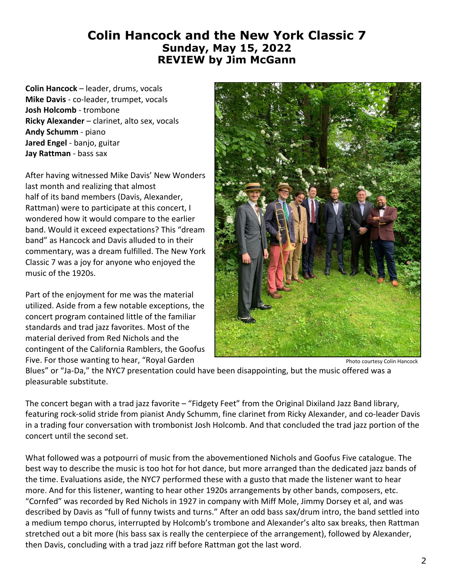### **Colin Hancock and the New York Classic 7 Sunday, May 15, 2022 REVIEW by Jim McGann**

**Colin Hancock** – leader, drums, vocals **Mike Davis** - co-leader, trumpet, vocals **Josh Holcomb** - trombone **Ricky Alexander** – clarinet, alto sex, vocals **Andy Schumm** - piano **Jared Engel** - banjo, guitar **Jay Rattman** - bass sax

After having witnessed Mike Davis' New Wonders last month and realizing that almost half of its band members (Davis, Alexander, Rattman) were to participate at this concert, I wondered how it would compare to the earlier band. Would it exceed expectations? This "dream band" as Hancock and Davis alluded to in their commentary, was a dream fulfilled. The New York Classic 7 was a joy for anyone who enjoyed the music of the 1920s.

Part of the enjoyment for me was the material utilized. Aside from a few notable exceptions, the concert program contained little of the familiar standards and trad jazz favorites. Most of the material derived from Red Nichols and the contingent of the California Ramblers, the Goofus Five. For those wanting to hear, "Royal Garden



Photo courtesy Colin Hancock

Blues" or "Ja-Da," the NYC7 presentation could have been disappointing, but the music offered was a pleasurable substitute.

The concert began with a trad jazz favorite – "Fidgety Feet" from the Original Dixiland Jazz Band library, featuring rock-solid stride from pianist Andy Schumm, fine clarinet from Ricky Alexander, and co-leader Davis in a trading four conversation with trombonist Josh Holcomb. And that concluded the trad jazz portion of the concert until the second set.

What followed was a potpourri of music from the abovementioned Nichols and Goofus Five catalogue. The best way to describe the music is too hot for hot dance, but more arranged than the dedicated jazz bands of the time. Evaluations aside, the NYC7 performed these with a gusto that made the listener want to hear more. And for this listener, wanting to hear other 1920s arrangements by other bands, composers, etc. "Cornfed" was recorded by Red Nichols in 1927 in company with Miff Mole, Jimmy Dorsey et al, and was described by Davis as "full of funny twists and turns." After an odd bass sax/drum intro, the band settled into a medium tempo chorus, interrupted by Holcomb's trombone and Alexander's alto sax breaks, then Rattman stretched out a bit more (his bass sax is really the centerpiece of the arrangement), followed by Alexander, then Davis, concluding with a trad jazz riff before Rattman got the last word.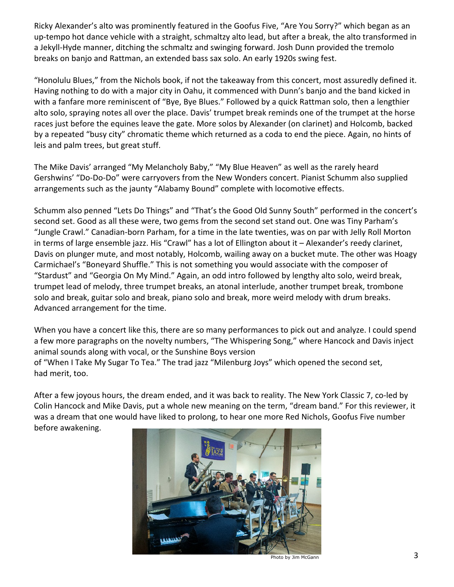Ricky Alexander's alto was prominently featured in the Goofus Five, "Are You Sorry?" which began as an up-tempo hot dance vehicle with a straight, schmaltzy alto lead, but after a break, the alto transformed in a Jekyll-Hyde manner, ditching the schmaltz and swinging forward. Josh Dunn provided the tremolo breaks on banjo and Rattman, an extended bass sax solo. An early 1920s swing fest.

"Honolulu Blues," from the Nichols book, if not the takeaway from this concert, most assuredly defined it. Having nothing to do with a major city in Oahu, it commenced with Dunn's banjo and the band kicked in with a fanfare more reminiscent of "Bye, Bye Blues." Followed by a quick Rattman solo, then a lengthier alto solo, spraying notes all over the place. Davis' trumpet break reminds one of the trumpet at the horse races just before the equines leave the gate. More solos by Alexander (on clarinet) and Holcomb, backed by a repeated "busy city" chromatic theme which returned as a coda to end the piece. Again, no hints of leis and palm trees, but great stuff.

The Mike Davis' arranged "My Melancholy Baby," "My Blue Heaven" as well as the rarely heard Gershwins' "Do-Do-Do" were carryovers from the New Wonders concert. Pianist Schumm also supplied arrangements such as the jaunty "Alabamy Bound" complete with locomotive effects.

Schumm also penned "Lets Do Things" and "That's the Good Old Sunny South" performed in the concert's second set. Good as all these were, two gems from the second set stand out. One was Tiny Parham's "Jungle Crawl." Canadian-born Parham, for a time in the late twenties, was on par with Jelly Roll Morton in terms of large ensemble jazz. His "Crawl" has a lot of Ellington about it – Alexander's reedy clarinet, Davis on plunger mute, and most notably, Holcomb, wailing away on a bucket mute. The other was Hoagy Carmichael's "Boneyard Shuffle." This is not something you would associate with the composer of "Stardust" and "Georgia On My Mind." Again, an odd intro followed by lengthy alto solo, weird break, trumpet lead of melody, three trumpet breaks, an atonal interlude, another trumpet break, trombone solo and break, guitar solo and break, piano solo and break, more weird melody with drum breaks. Advanced arrangement for the time.

When you have a concert like this, there are so many performances to pick out and analyze. I could spend a few more paragraphs on the novelty numbers, "The Whispering Song," where Hancock and Davis inject animal sounds along with vocal, or the Sunshine Boys version

of "When I Take My Sugar To Tea." The trad jazz "Milenburg Joys" which opened the second set, had merit, too.

After a few joyous hours, the dream ended, and it was back to reality. The New York Classic 7, co-led by Colin Hancock and Mike Davis, put a whole new meaning on the term, "dream band." For this reviewer, it was a dream that one would have liked to prolong, to hear one more Red Nichols, Goofus Five number before awakening.

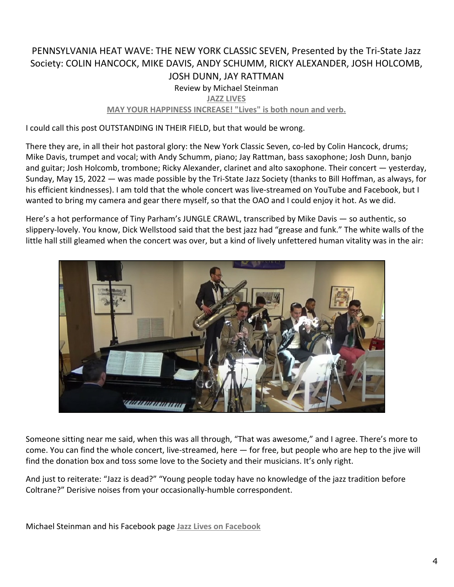#### PENNSYLVANIA HEAT WAVE: THE NEW YORK CLASSIC SEVEN, Presented by the Tri-State Jazz Society: COLIN HANCOCK, MIKE DAVIS, ANDY SCHUMM, RICKY ALEXANDER, JOSH HOLCOMB, JOSH DUNN, JAY RATTMAN Review by Michael Steinman **[JAZZ LIVES](https://jazzlives.wordpress.com/2022/05/16/pennsylvania-heat-wave-the-new-york-classic-seven-presented-by-the-tri-state-jazz-society-colin-hancock-mike-davis-andy-schumm-ricky-alexander-josh-holcomb-josh-dunn-jay-rattman-wallingford/) [MAY YOUR HAPPINESS INCREASE! "Lives" is both noun and verb.](https://jazzlives.wordpress.com/2022/05/16/pennsylvania-heat-wave-the-new-york-classic-seven-presented-by-the-tri-state-jazz-society-colin-hancock-mike-davis-andy-schumm-ricky-alexander-josh-holcomb-josh-dunn-jay-rattman-wallingford/)**

I could call this post OUTSTANDING IN THEIR FIELD, but that would be wrong.

There they are, in all their hot pastoral glory: the New York Classic Seven, co-led by Colin Hancock, drums; Mike Davis, trumpet and vocal; with Andy Schumm, piano; Jay Rattman, bass saxophone; Josh Dunn, banjo and guitar; Josh Holcomb, trombone; Ricky Alexander, clarinet and alto saxophone. Their concert — yesterday, Sunday, May 15, 2022 — was made possible by the Tri-State Jazz Society (thanks to Bill Hoffman, as always, for his efficient kindnesses). I am told that the whole concert was live-streamed on YouTube and Facebook, but I wanted to bring my camera and gear there myself, so that the OAO and I could enjoy it hot. As we did.

Here's a hot performance of Tiny Parham's JUNGLE CRAWL, transcribed by Mike Davis — so authentic, so slippery-lovely. You know, Dick Wellstood said that the best jazz had "grease and funk." The white walls of the little hall still gleamed when the concert was over, but a kind of lively unfettered human vitality was in the air:



Someone sitting near me said, when this was all through, "That was awesome," and I agree. There's more to come. You can find the whole concert, live-streamed, here — for free, but people who are hep to the jive will find the donation box and toss some love to the Society and their musicians. It's only right.

And just to reiterate: "Jazz is dead?" "Young people today have no knowledge of the jazz tradition before Coltrane?" Derisive noises from your occasionally-humble correspondent.

Michael Steinman and his Facebook page **[Jazz Lives on Facebook](https://www.facebook.com/michael.jazzlives)**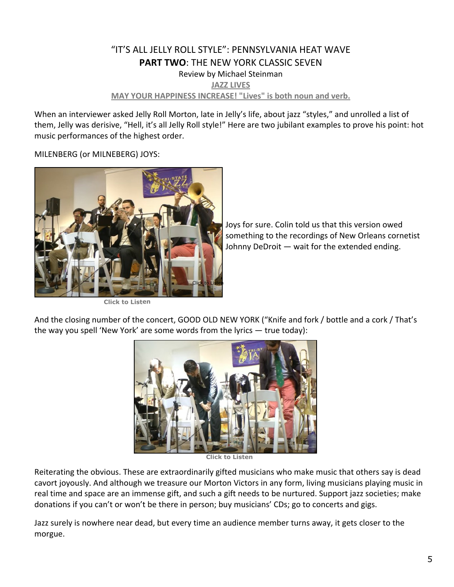#### "IT'S ALL JELLY ROLL STYLE": PENNSYLVANIA HEAT WAVE **PART TWO: THE NEW YORK CLASSIC SEVEN** Review by Michael Steinman **[JAZZ LIVES](https://jazzlives.wordpress.com/2022/05/17/its-all-jelly-roll-style-pennsylvania-heat-wave-part-two-the-new-york-classic-seven-presented-by-the-tri-state-jazz-society-colin-hancock-mike-davis-andy-schumm-ricky-alexander-josh-hol/) [MAY YOUR HAPPINESS INCREASE! "Lives" is both noun and verb.](https://jazzlives.wordpress.com/2022/05/17/its-all-jelly-roll-style-pennsylvania-heat-wave-part-two-the-new-york-classic-seven-presented-by-the-tri-state-jazz-society-colin-hancock-mike-davis-andy-schumm-ricky-alexander-josh-hol/)**

When an interviewer asked Jelly Roll Morton, late in Jelly's life, about jazz "styles," and unrolled a list of them, Jelly was derisive, "Hell, it's all Jelly Roll style!" Here are two jubilant examples to prove his point: hot music performances of the highest order.

MILENBERG (or MILNEBERG) JOYS:



**[Click to Listen](https://youtu.be/G9FqZXUiqew)**

Joys for sure. Colin told us that this version owed something to the recordings of New Orleans cornetist Johnny DeDroit — wait for the extended ending.

And the closing number of the concert, GOOD OLD NEW YORK ("Knife and fork / bottle and a cork / That's the way you spell 'New York' are some words from the lyrics — true today):



**[Click to Listen](https://youtu.be/nyE1pjBwyko)**

Reiterating the obvious. These are extraordinarily gifted musicians who make music that others say is dead cavort joyously. And although we treasure our Morton Victors in any form, living musicians playing music in real time and space are an immense gift, and such a gift needs to be nurtured. Support jazz societies; make donations if you can't or won't be there in person; buy musicians' CDs; go to concerts and gigs.

Jazz surely is nowhere near dead, but every time an audience member turns away, it gets closer to the morgue.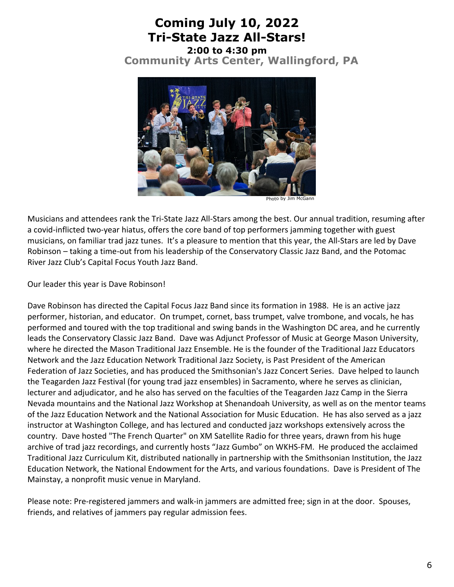# **Coming July 10, 2022 Tri-State Jazz All-Stars!**

**2:00 to 4:30 pm [Community Arts Center, Wallingford, PA](https://www.tristatejazz.org/images/directions-cac.pdf)**



Photo by Jim McGann

Musicians and attendees rank the Tri-State Jazz All-Stars among the best. Our annual tradition, resuming after a covid-inflicted two-year hiatus, offers the core band of top performers jamming together with guest musicians, on familiar trad jazz tunes. It's a pleasure to mention that this year, the All-Stars are led by Dave Robinson – taking a time-out from his leadership of the Conservatory Classic Jazz Band, and the Potomac River Jazz Club's Capital Focus Youth Jazz Band.

Our leader this year is Dave Robinson!

Dave Robinson has directed the Capital Focus Jazz Band since its formation in 1988. He is an active jazz performer, historian, and educator. On trumpet, cornet, bass trumpet, valve trombone, and vocals, he has performed and toured with the top traditional and swing bands in the Washington DC area, and he currently leads the Conservatory Classic Jazz Band. Dave was Adjunct Professor of Music at George Mason University, where he directed the Mason Traditional Jazz Ensemble. He is the founder of the Traditional Jazz Educators Network and the Jazz Education Network Traditional Jazz Society, is Past President of the American Federation of Jazz Societies, and has produced the Smithsonian's Jazz Concert Series. Dave helped to launch the Teagarden Jazz Festival (for young trad jazz ensembles) in Sacramento, where he serves as clinician, lecturer and adjudicator, and he also has served on the faculties of the Teagarden Jazz Camp in the Sierra Nevada mountains and the National Jazz Workshop at Shenandoah University, as well as on the mentor teams of the Jazz Education Network and the National Association for Music Education. He has also served as a jazz instructor at Washington College, and has lectured and conducted jazz workshops extensively across the country. Dave hosted "The French Quarter" on XM Satellite Radio for three years, drawn from his huge archive of trad jazz recordings, and currently hosts "Jazz Gumbo" on WKHS-FM. He produced the acclaimed Traditional Jazz Curriculum Kit, distributed nationally in partnership with the Smithsonian Institution, the Jazz Education Network, the National Endowment for the Arts, and various foundations. Dave is President of The Mainstay, a nonprofit music venue in Maryland.

Please note: Pre-registered jammers and walk-in jammers are admitted free; sign in at the door. Spouses, friends, and relatives of jammers pay regular admission fees.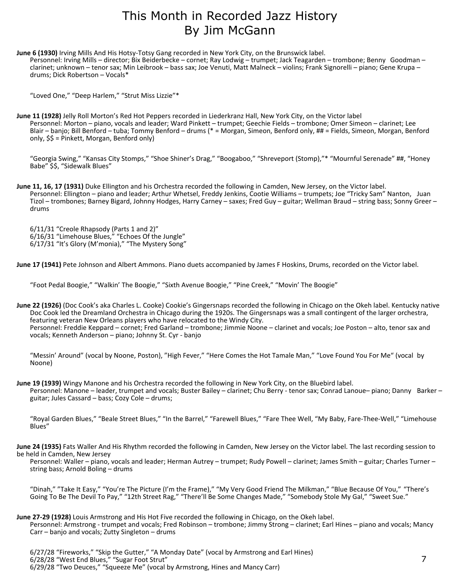## This Month in Recorded Jazz History By Jim McGann

**June 6 (1930)** Irving Mills And His Hotsy-Totsy Gang recorded in New York City, on the Brunswick label. Personnel: Irving Mills – director; Bix Beiderbecke – cornet; Ray Lodwig – trumpet; Jack Teagarden – trombone; Benny Goodman – clarinet; unknown – tenor sax; Min Leibrook – bass sax; Joe Venuti, Matt Malneck – violins; Frank Signorelli – piano; Gene Krupa – drums; Dick Robertson – Vocals\*

"Loved One," "Deep Harlem," "Strut Miss Lizzie"\*

**June 11 (1928)** Jelly Roll Morton's Red Hot Peppers recorded in Liederkranz Hall, New York City, on the Victor label Personnel: Morton – piano, vocals and leader; Ward Pinkett – trumpet; Geechie Fields – trombone; Omer Simeon – clarinet; Lee Blair – banjo; Bill Benford – tuba; Tommy Benford – drums (\* = Morgan, Simeon, Benford only, ## = Fields, Simeon, Morgan, Benford only, \$\$ = Pinkett, Morgan, Benford only)

"Georgia Swing," "Kansas City Stomps," "Shoe Shiner's Drag," "Boogaboo," "Shreveport (Stomp),"\* "Mournful Serenade" ##, "Honey Babe" \$\$, "Sidewalk Blues"

**June 11, 16, 17 (1931)** Duke Ellington and his Orchestra recorded the following in Camden, New Jersey, on the Victor label. Personnel: Ellington – piano and leader; Arthur Whetsel, Freddy Jenkins, Cootie Williams – trumpets; Joe "Tricky Sam" Nanton, Juan Tizol – trombones; Barney Bigard, Johnny Hodges, Harry Carney – saxes; Fred Guy – guitar; Wellman Braud – string bass; Sonny Greer – drums

6/11/31 "Creole Rhapsody (Parts 1 and 2)" 6/16/31 "Limehouse Blues," "Echoes Of the Jungle" 6/17/31 "It's Glory (M'monia)," "The Mystery Song"

**June 17 (1941)** Pete Johnson and Albert Ammons. Piano duets accompanied by James F Hoskins, Drums, recorded on the Victor label.

"Foot Pedal Boogie," "Walkin' The Boogie," "Sixth Avenue Boogie," "Pine Creek," "Movin' The Boogie"

**June 22 (1926)** (Doc Cook's aka Charles L. Cooke) Cookie's Gingersnaps recorded the following in Chicago on the Okeh label. Kentucky native Doc Cook led the Dreamland Orchestra in Chicago during the 1920s. The Gingersnaps was a small contingent of the larger orchestra, featuring veteran New Orleans players who have relocated to the Windy City. Personnel: Freddie Keppard – cornet; Fred Garland – trombone; Jimmie Noone – clarinet and vocals; Joe Poston – alto, tenor sax and vocals; Kenneth Anderson – piano; Johnny St. Cyr - banjo

"Messin' Around" (vocal by Noone, Poston), "High Fever," "Here Comes the Hot Tamale Man," "Love Found You For Me" (vocal by Noone)

**June 19 (1939)** Wingy Manone and his Orchestra recorded the following in New York City, on the Bluebird label. Personnel: Manone – leader, trumpet and vocals; Buster Bailey – clarinet; Chu Berry - tenor sax; Conrad Lanoue– piano; Danny Barker – guitar; Jules Cassard – bass; Cozy Cole – drums;

"Royal Garden Blues," "Beale Street Blues," "In the Barrel," "Farewell Blues," "Fare Thee Well, "My Baby, Fare-Thee-Well," "Limehouse Blues"

**June 24 (1935)** Fats Waller And His Rhythm recorded the following in Camden, New Jersey on the Victor label. The last recording session to be held in Camden, New Jersey

 Personnel: Waller – piano, vocals and leader; Herman Autrey – trumpet; Rudy Powell – clarinet; James Smith – guitar; Charles Turner – string bass; Arnold Boling – drums

"Dinah," "Take It Easy," "You're The Picture (I'm the Frame)," "My Very Good Friend The Milkman," "Blue Because Of You," "There's Going To Be The Devil To Pay," "12th Street Rag," "There'll Be Some Changes Made," "Somebody Stole My Gal," "Sweet Sue."

**June 27-29 (1928)** Louis Armstrong and His Hot Five recorded the following in Chicago, on the Okeh label.

 Personnel: Armstrong - trumpet and vocals; Fred Robinson – trombone; Jimmy Strong – clarinet; Earl Hines – piano and vocals; Mancy Carr – banjo and vocals; Zutty Singleton – drums